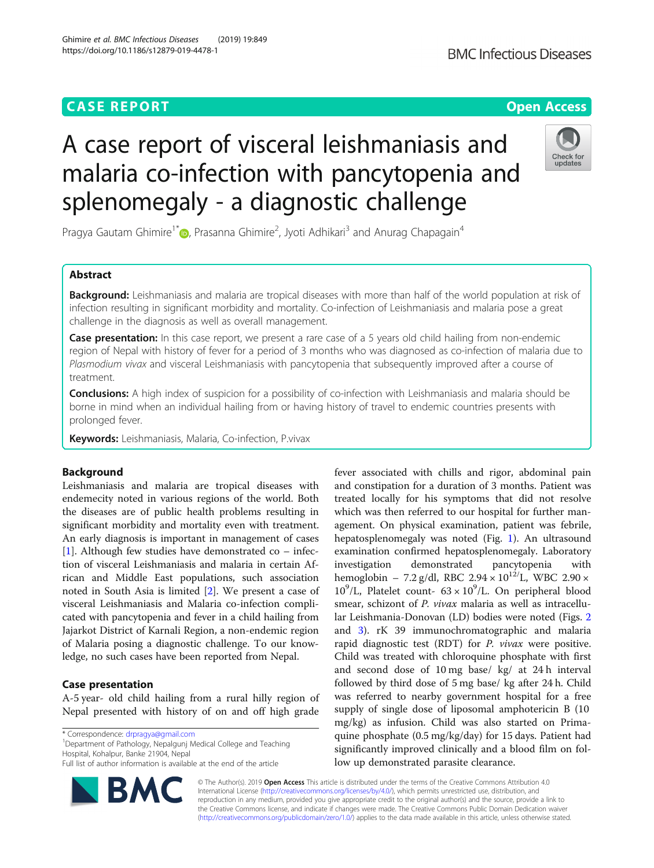### **CASE REPORT CASE ACCESS**

## A case report of visceral leishmaniasis and malaria co-infection with pancytopenia and splenomegaly - a diagnostic challenge

Pragya Gautam Ghimire<sup>1[\\*](http://orcid.org/0000-0002-7992-7663)</sup> (**p**, Prasanna Ghimire<sup>2</sup>, Jyoti Adhikari<sup>3</sup> and Anurag Chapagain<sup>4</sup>

#### Abstract

Background: Leishmaniasis and malaria are tropical diseases with more than half of the world population at risk of infection resulting in significant morbidity and mortality. Co-infection of Leishmaniasis and malaria pose a great challenge in the diagnosis as well as overall management.

**Case presentation:** In this case report, we present a rare case of a 5 years old child hailing from non-endemic region of Nepal with history of fever for a period of 3 months who was diagnosed as co-infection of malaria due to Plasmodium vivax and visceral Leishmaniasis with pancytopenia that subsequently improved after a course of treatment.

Conclusions: A high index of suspicion for a possibility of co-infection with Leishmaniasis and malaria should be borne in mind when an individual hailing from or having history of travel to endemic countries presents with prolonged fever.

Keywords: Leishmaniasis, Malaria, Co-infection, P.vivax

#### Background

Leishmaniasis and malaria are tropical diseases with endemecity noted in various regions of the world. Both the diseases are of public health problems resulting in significant morbidity and mortality even with treatment. An early diagnosis is important in management of cases [[1\]](#page-2-0). Although few studies have demonstrated  $\text{co}-\text{infe}$ tion of visceral Leishmaniasis and malaria in certain African and Middle East populations, such association noted in South Asia is limited [[2\]](#page-2-0). We present a case of visceral Leishmaniasis and Malaria co-infection complicated with pancytopenia and fever in a child hailing from Jajarkot District of Karnali Region, a non-endemic region of Malaria posing a diagnostic challenge. To our knowledge, no such cases have been reported from Nepal.

Case presentation

A-5 year- old child hailing from a rural hilly region of Nepal presented with history of on and off high grade

\* Correspondence: [drpragya@gmail.com](mailto:drpragya@gmail.com) <sup>1</sup>

Department of Pathology, Nepalgunj Medical College and Teaching Hospital, Kohalpur, Banke 21904, Nepal

Full list of author information is available at the end of the article

© The Author(s). 2019 Open Access This article is distributed under the terms of the Creative Commons Attribution 4.0 International License [\(http://creativecommons.org/licenses/by/4.0/](http://creativecommons.org/licenses/by/4.0/)), which permits unrestricted use, distribution, and reproduction in any medium, provided you give appropriate credit to the original author(s) and the source, provide a link to the Creative Commons license, and indicate if changes were made. The Creative Commons Public Domain Dedication waiver [\(http://creativecommons.org/publicdomain/zero/1.0/](http://creativecommons.org/publicdomain/zero/1.0/)) applies to the data made available in this article, unless otherwise stated.

low up demonstrated parasite clearance.





fever associated with chills and rigor, abdominal pain and constipation for a duration of 3 months. Patient was treated locally for his symptoms that did not resolve which was then referred to our hospital for further management. On physical examination, patient was febrile, hepatosplenomegaly was noted (Fig. [1](#page-1-0)). An ultrasound examination confirmed hepatosplenomegaly. Laboratory investigation demonstrated pancytopenia with hemoglobin – 7.2 g/dl, RBC  $2.94 \times 10^{12}$ L, WBC  $2.90 \times$  $10^9$ /L, Platelet count-  $63 \times 10^9$ /L. On peripheral blood smear, schizont of P. vivax malaria as well as intracellular Leishmania-Donovan (LD) bodies were noted (Figs. [2](#page-1-0) and [3](#page-1-0)). rK 39 immunochromatographic and malaria rapid diagnostic test (RDT) for *P. vivax* were positive. Child was treated with chloroquine phosphate with first and second dose of 10 mg base/ kg/ at 24 h interval followed by third dose of 5 mg base/ kg after 24 h. Child was referred to nearby government hospital for a free supply of single dose of liposomal amphotericin B (10 mg/kg) as infusion. Child was also started on Primaquine phosphate (0.5 mg/kg/day) for 15 days. Patient had significantly improved clinically and a blood film on fol-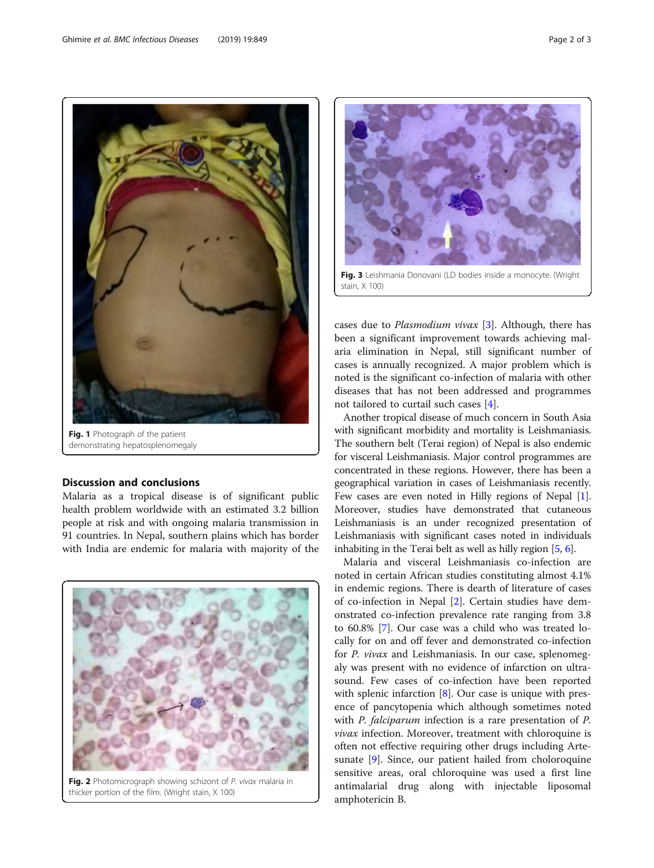Malaria as a tropical disease is of significant public health problem worldwide with an estimated 3.2 billion people at risk and with ongoing malaria transmission in 91 countries. In Nepal, southern plains which has border

# Discussion and conclusions with India are endemic for malaria with majority of the

Fig. 2 Photomicrograph showing schizont of P. vivax malaria in thicker portion of the film. (Wright stain, X 100)

cases due to Plasmodium vivax [\[3](#page-2-0)]. Although, there has been a significant improvement towards achieving malaria elimination in Nepal, still significant number of cases is annually recognized. A major problem which is noted is the significant co-infection of malaria with other diseases that has not been addressed and programmes not tailored to curtail such cases [\[4](#page-2-0)].

Another tropical disease of much concern in South Asia with significant morbidity and mortality is Leishmaniasis. The southern belt (Terai region) of Nepal is also endemic for visceral Leishmaniasis. Major control programmes are concentrated in these regions. However, there has been a geographical variation in cases of Leishmaniasis recently. Few cases are even noted in Hilly regions of Nepal [[1](#page-2-0)]. Moreover, studies have demonstrated that cutaneous Leishmaniasis is an under recognized presentation of Leishmaniasis with significant cases noted in individuals inhabiting in the Terai belt as well as hilly region [\[5](#page-2-0), [6\]](#page-2-0).

Malaria and visceral Leishmaniasis co-infection are noted in certain African studies constituting almost 4.1% in endemic regions. There is dearth of literature of cases of co-infection in Nepal [\[2](#page-2-0)]. Certain studies have demonstrated co-infection prevalence rate ranging from 3.8 to 60.8% [[7\]](#page-2-0). Our case was a child who was treated locally for on and off fever and demonstrated co-infection for P. vivax and Leishmaniasis. In our case, splenomegaly was present with no evidence of infarction on ultrasound. Few cases of co-infection have been reported with splenic infarction [[8\]](#page-2-0). Our case is unique with presence of pancytopenia which although sometimes noted with *P. falciparum* infection is a rare presentation of *P.* vivax infection. Moreover, treatment with chloroquine is often not effective requiring other drugs including Artesunate [[9](#page-2-0)]. Since, our patient hailed from choloroquine sensitive areas, oral chloroquine was used a first line antimalarial drug along with injectable liposomal amphotericin B.

Fig. 3 Leishmania Donovani (LD bodies inside a monocyte. (Wright stain, X 100

<span id="page-1-0"></span>